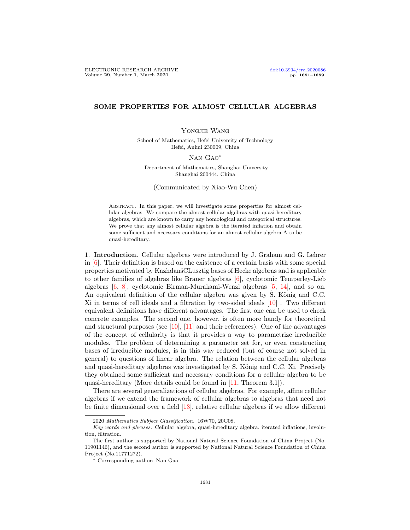## SOME PROPERTIES FOR ALMOST CELLULAR ALGEBRAS

## Yongjie Wang

School of Mathematics, Hefei University of Technology Hefei, Anhui 230009, China

## Nan Gao∗

Department of Mathematics, Shanghai University Shanghai 200444, China

(Communicated by Xiao-Wu Chen)

Abstract. In this paper, we will investigate some properties for almost cellular algebras. We compare the almost cellular algebras with quasi-hereditary algebras, which are known to carry any homological and categorical structures. We prove that any almost cellular algebra is the iterated inflation and obtain some sufficient and necessary conditions for an almost cellular algebra A to be quasi-hereditary.

1. Introduction. Cellular algebras were introduced by J. Graham and G. Lehrer in  $[6]$ . Their definition is based on the existence of a certain basis with some special properties motivated by KazhdanšCLusztig bases of Hecke algebras and is applicable to other families of algebras like Brauer algebras [\[6\]](#page-8-0), cyclotomic Temperley-Lieb algebras [\[6,](#page-8-0) [8\]](#page-8-1), cyclotomic Birman-Murakami-Wenzl algebras [\[5,](#page-8-2) [14\]](#page-8-3), and so on. An equivalent definition of the cellular algebra was given by S. König and C.C. Xi in terms of cell ideals and a filtration by two-sided ideals [\[10\]](#page-8-4) . Two different equivalent definitions have different advantages. The first one can be used to check concrete examples. The second one, however, is often more handy for theoretical and structural purposes (see  $[10]$ ,  $[11]$  and their references). One of the advantages of the concept of cellularity is that it provides a way to parametrize irreducible modules. The problem of determining a parameter set for, or even constructing bases of irreducible modules, is in this way reduced (but of course not solved in general) to questions of linear algebra. The relation between the cellular algebras and quasi-hereditary algebras was investigated by S. König and C.C. Xi. Precisely they obtained some sufficient and necessary conditions for a cellular algebra to be quasi-hereditary (More details could be found in [\[11,](#page-8-5) Theorem 3.1]).

There are several generalizations of cellular algebras. For example, affine cellular algebras if we extend the framework of cellular algebras to algebras that need not be finite dimensional over a field [\[13\]](#page-8-6), relative cellular algebras if we allow different

<sup>2020</sup> Mathematics Subject Classification. 16W70, 20C08.

Key words and phrases. Cellular algebra, quasi-hereditary algebra, iterated inflations, involution, filtration.

The first author is supported by National Natural Science Foundation of China Project (No. 11901146), and the second author is supported by National Natural Science Foundation of China Project (No.11771272).

<sup>∗</sup> Corresponding author: Nan Gao.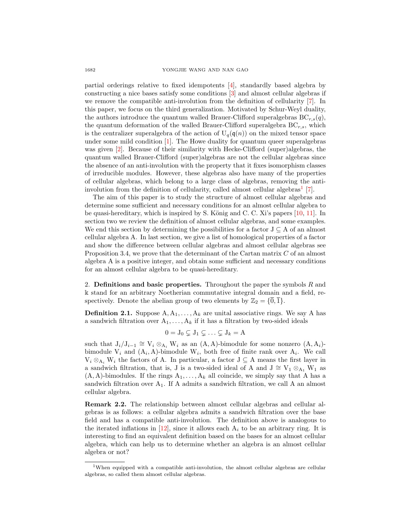partial orderings relative to fixed idempotents [\[4\]](#page-8-7), standardly based algebra by constructing a nice bases satisfy some conditions [\[3\]](#page-8-8) and almost cellular algebras if we remove the compatible anti-involution from the definition of cellularity [\[7\]](#page-8-9). In this paper, we focus on the third generalization. Motivated by Schur-Weyl duality, the authors introduce the quantum walled Brauer-Clifford superalgebras  $BC_{r,s}(q)$ , the quantum deformation of the walled Brauer-Clifford superalgebra  $BC_{r,s}$ , which is the centralizer superalgebra of the action of  $U_q(\mathfrak{q}(n))$  on the mixed tensor space under some mild condition  $[1]$ . The Howe duality for quantum queer superalgebras was given [\[2\]](#page-8-11). Because of their similarity with Hecke-Clifford (super)algebras, the quantum walled Brauer-Clifford (super)algebras are not the cellular algebras since the absence of an anti-involution with the property that it fixes isomorphism classes of irreducible modules. However, these algebras also have many of the properties of cellular algebras, which belong to a large class of algebras, removing the anti-involution from the definition of cellularity, called almost cellular algebras<sup>[1](#page-1-0)</sup> [\[7\]](#page-8-9).

The aim of this paper is to study the structure of almost cellular algebras and determine some sufficient and necessary conditions for an almost cellular algebra to be quasi-hereditary, which is inspired by S. König and C. C. Xi's papers  $[10, 11]$  $[10, 11]$  $[10, 11]$ . In section two we review the definition of almost cellular algebras, and some examples. We end this section by determining the possibilities for a factor  $J \subseteq A$  of an almost cellular algebra A. In last section, we give a list of homological properties of a factor and show the difference between cellular algebras and almost cellular algebras see Proposition 3.4, we prove that the determinant of the Cartan matrix  $C$  of an almost algebra A is a positive integer, and obtain some sufficient and necessary conditions for an almost cellular algebra to be quasi-hereditary.

2. Definitions and basic properties. Throughout the paper the symbols  $R$  and k stand for an arbitrary Noetherian commutative integral domain and a field, respectively. Denote the abelian group of two elements by  $\mathbb{Z}_2 = {\overline{0}, \overline{1}}$ .

**Definition 2.1.** Suppose  $A, A_1, \ldots, A_k$  are unital associative rings. We say A has a sandwich filtration over  $A_1, \ldots, A_k$  if it has a filtration by two-sided ideals

$$
0=J_0\subsetneq J_1\subsetneq \ldots \subsetneq J_k=A
$$

such that  $J_i/J_{i-1} \cong V_i \otimes_{A_i} W_i$  as an  $(A, A)$ -bimodule for some nonzero  $(A, A_i)$ bimodule  $V_i$  and  $(A_i, A)$ -bimodule  $W_i$ , both free of finite rank over  $A_i$ . We call  $V_i \otimes_{A_i} W_i$  the factors of A. In particular, a factor  $J \subseteq A$  means the first layer in a sandwich filtration, that is, J is a two-sided ideal of A and  $J \cong V_1 \otimes_{A_1} W_1$  as  $(A, A)$ -bimodules. If the rings  $A_1, \ldots, A_k$  all coincide, we simply say that A has a sandwich filtration over  $A_1$ . If A admits a sandwich filtration, we call A an almost cellular algebra.

Remark 2.2. The relationship between almost cellular algebras and cellular algebras is as follows: a cellular algebra admits a sandwich filtration over the base field and has a compatible anti-involution. The definition above is analogous to the iterated inflations in  $[12]$ , since it allows each  $A_i$  to be an arbitrary ring. It is interesting to find an equivalent definition based on the bases for an almost cellular algebra, which can help us to determine whether an algebra is an almost cellular algebra or not?

<span id="page-1-0"></span><sup>&</sup>lt;sup>1</sup>When equipped with a compatible anti-involution, the almost cellular algebras are cellular algebras, so called them almost cellular algebras.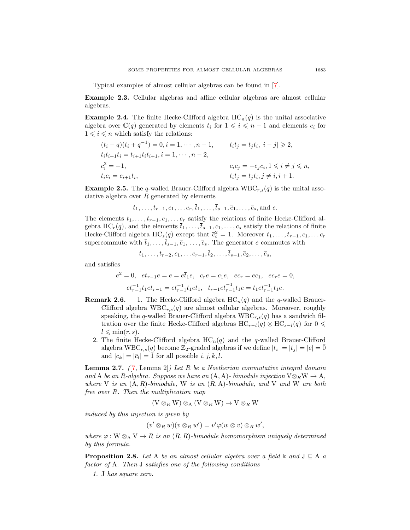Typical examples of almost cellular algebras can be found in [\[7\]](#page-8-9).

Example 2.3. Cellular algebras and affine cellular algebras are almost cellular algebras.

**Example 2.4.** The finite Hecke-Clifford algebra  $HC_n(q)$  is the unital associative algebra over  $\mathbb{C}(q)$  generated by elements  $t_i$  for  $1 \leq i \leq n-1$  and elements  $c_i$  for  $1 \leq i \leq n$  which satisfy the relations:

$$
(t_i - q)(t_i + q^{-1}) = 0, i = 1, \dots, n - 1, \t t_i t_j = t_j t_i, |i - j| \ge 2, \n t_i t_{i+1} t_i = t_{i+1} t_i t_{i+1}, i = 1, \dots, n - 2, \n c_i^2 = -1, \t c_i c_j = -c_j c_i, 1 \le i \ne j \le n, \n t_i t_j = t_j t_i, j \ne i, i + 1.
$$

**Example 2.5.** The q-walled Brauer-Clifford algebra  $WBC_{r,s}(q)$  is the unital associative algebra over  $R$  generated by elements

$$
t_1, \ldots, t_{r-1}, c_1, \ldots c_r, \overline{t}_1, \ldots, \overline{t}_{s-1}, \overline{c}_1, \ldots, \overline{c}_s
$$
, and  $e$ .

The elements  $t_1, \ldots, t_{r-1}, c_1, \ldots c_r$  satisfy the relations of finite Hecke-Clifford algebra HC<sub>r</sub>(q), and the elements  $\bar{t}_1, \ldots, \bar{t}_{s-1}, \bar{c}_1, \ldots, \bar{c}_s$  satisfy the relations of finite Hecke-Clifford algebra  $HC_s(q)$  except that  $\bar{c}_i^2 = 1$ . Moreover  $t_1, \ldots, t_{r-1}, c_1, \ldots c_r$ supercommute with  $\bar{t}_1, \ldots, \bar{t}_{s-1}, \bar{c}_1, \ldots, \bar{c}_s$ . The generator e commutes with

$$
t_1,\ldots,t_{r-2},c_1,\ldots c_{r-1},\overline{t}_2,\ldots,\overline{t}_{s-1},\overline{c}_2,\ldots,\overline{c}_s,
$$

and satisfies

$$
e^{2} = 0, \quad et_{r-1}e = e = e\overline{t}_{1}e, \quad c_{r}e = \overline{c}_{1}e, \quad ec_{r} = e\overline{c}_{1}, \quad ec_{r}e = 0,
$$
  

$$
et_{r-1}^{-1}\overline{t}_{1}et_{r-1} = et_{r-1}^{-1}\overline{t}_{1}e\overline{t}_{1}, \quad t_{r-1}e\overline{t}_{r-1}^{-1}\overline{t}_{1}e = \overline{t}_{1}et_{r-1}^{-1}\overline{t}_{1}e.
$$

- **Remark 2.6.** 1. The Hecke-Clifford algebra  $HC_n(q)$  and the q-walled Brauer-Clifford algebra  $WBC_{r,s}(q)$  are almost cellular algebras. Moreover, roughly speaking, the q-walled Brauer-Clifford algebra  $WBC_{r,s}(q)$  has a sandwich filtration over the finite Hecke-Clifford algebras  $HC_{r-l}(q) \otimes HC_{s-l}(q)$  for  $0 \leq$  $l \leqslant \min(r, s).$ 
	- 2. The finite Hecke-Clifford algebra  $HC_n(q)$  and the q-walled Brauer-Clifford algebra  $WBC_{r,s}(q)$  become  $\mathbb{Z}_2$ -graded algebras if we define  $|t_i| = |\bar{t}_j| = |e| = \bar{0}$ and  $|c_k| = |\overline{c}_l| = \overline{1}$  for all possible  $i, j, k, l$ .

<span id="page-2-0"></span>**Lemma 2.7.** ([\[7,](#page-8-9) Lemma 2]) Let R be a Noetherian commutative integral domain and A be an R-algebra. Suppose we have an  $(A, A)$ - bimodule injection  $V \otimes_R W \to A$ , where V is an  $(A, R)$ -bimodule, W is an  $(R, A)$ -bimodule, and V and W are both free over R. Then the multiplication map

$$
(V\otimes_R W)\otimes_A (V\otimes_R W)\to V\otimes_R W
$$

induced by this injection is given by

$$
(v' \otimes_R w)(v \otimes_R w') = v'\varphi(w \otimes v) \otimes_R w',
$$

where  $\varphi : W \otimes_A V \to R$  is an  $(R, R)$ -bimodule homomorphism uniquely determined by this formula.

<span id="page-2-1"></span>**Proposition 2.8.** Let A be an almost cellular algebra over a field  $\&$  and  $J \subseteq A$  a factor of A. Then J satisfies one of the following conditions

1. J has square zero.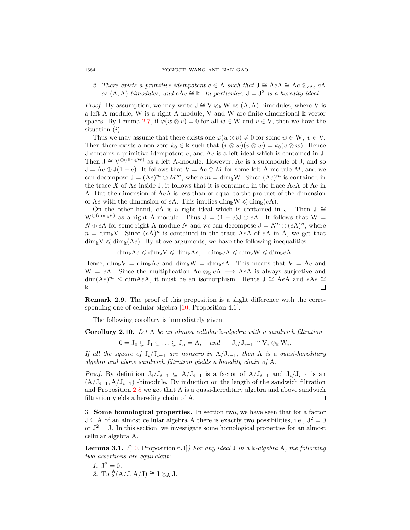2. There exists a primitive idempotent  $e \in A$  such that  $J \cong AeA \cong Ae \otimes_{eAe} eA$ as (A, A)-bimodules, and eAe ≅ k. In particular,  $J = J^2$  is a heredity ideal.

*Proof.* By assumption, we may write  $J \cong V \otimes_k W$  as  $(A, A)$ -bimodules, where V is a left A-module, W is a right A-module, V and W are finite-dimensional k-vector spaces. By Lemma [2.7,](#page-2-0) if  $\varphi(w \otimes v) = 0$  for all  $w \in W$  and  $v \in V$ , then we have the situation (i).

Thus we may assume that there exists one  $\varphi(w \otimes v) \neq 0$  for some  $w \in W$ ,  $v \in V$ . Then there exists a non-zero  $k_0 \in \mathbb{k}$  such that  $(v \otimes w)(v \otimes w) = k_0(v \otimes w)$ . Hence J contains a primitive idempotent e, and Ae is a left ideal which is contained in J. Then  $J \cong V^{\oplus (dim_k W)}$  as a left A-module. However, Ae is a submodule of J, and so  $J = Ae \oplus J(1 - e)$ . It follows that  $V = Ae \oplus M$  for some left A-module M, and we can decompose  $J = (Ae)^m \oplus M^m$ , where  $m = \dim_k W$ . Since  $(Ae)^m$  is contained in the trace  $X$  of  $Ae$  inside J, it follows that it is contained in the trace  $AeA$  of  $Ae$  in A. But the dimension of AeA is less than or equal to the product of the dimension of Ae with the dimension of eA. This implies  $\dim_k W \leq \dim_k(eA)$ .

On the other hand, eA is a right ideal which is contained in J. Then J  $\cong$ W⊕(dim<sub>k</sub>V) as a right A-module. Thus  $J = (1 - e)J \oplus eA$ . It follows that W =  $N \oplus eA$  for some right A-module N and we can decompose  $J = N^n \oplus (eA)^n$ , where  $n = \dim_{\mathbb{k}} V$ . Since  $(eA)^n$  is contained in the trace AeA of eA in A, we get that  $\dim_k V \leq \dim_k(Ae)$ . By above arguments, we have the following inequalities

 $\dim_{\Bbbk}Ae \leq \dim_{\Bbbk}V \leq \dim_{\Bbbk}Ae$ ,  $\dim_{\Bbbk}eA \leq \dim_{\Bbbk}W \leq \dim_{\Bbbk}eA$ .

Hence,  $\dim_k V = \dim_k Ae$  and  $\dim_k W = \dim_k eA$ . This means that  $V = Ae$  and W = eA. Since the multiplication  $Ae \otimes_{\mathbb{k}} eA \longrightarrow AeA$  is always surjective and  $\dim(Ae)^m \leq \dim AeA$ , it must be an isomorphism. Hence  $J \cong AeA$  and  $eAe \cong$ k.  $\Box$ 

Remark 2.9. The proof of this proposition is a slight difference with the corresponding one of cellular algebra [\[10,](#page-8-4) Proposition 4.1].

The following corollary is immediately given.

Corollary 2.10. Let A be an almost cellular  $\mathbb{k}$ -algebra with a sandwich filtration

 $0 = J_0 \subsetneq J_1 \subsetneq \ldots \subsetneq J_n = A, \quad and \quad J_i/J_{i-1} \cong V_i \otimes_k W_i.$ 

If all the square of  $J_i/J_{i-1}$  are nonzero in  $A/J_{i-1}$ , then A is a quasi-hereditary algebra and above sandwich filtration yields a heredity chain of A.

*Proof.* By definition  $J_i/J_{i-1} \subseteq A/J_{i-1}$  is a factor of  $A/J_{i-1}$  and  $J_i/J_{i-1}$  is an  $(A/J_{i-1}, A/J_{i-1})$  -bimodule. By induction on the length of the sandwich filtration and Proposition [2.8](#page-2-1) we get that A is a quasi-hereditary algebra and above sandwich filtration yields a heredity chain of A.  $\Box$ 

3. Some homological properties. In section two, we have seen that for a factor  $J \subseteq A$  of an almost cellular algebra A there is exactly two possibilities, i.e.,  $J^2 = 0$ or  $J^2 = J$ . In this section, we investigate some homological properties for an almost cellular algebra A.

<span id="page-3-0"></span>**Lemma 3.1.** (10, Proposition 6.1) For any ideal J in a k-algebra A, the following two assertions are equivalent:

- 1.  $J^2 = 0$ ,
- 2.  $\operatorname{Tor}_2^A(A/J, A/J) \cong J \otimes_A J$ .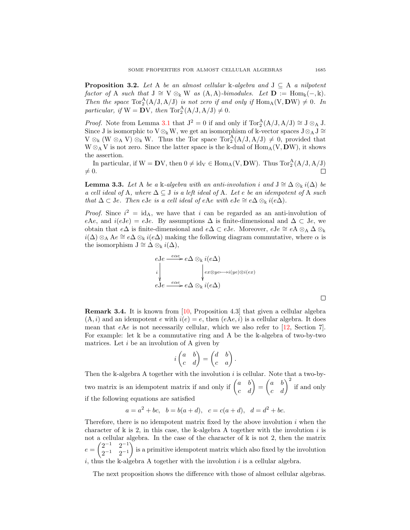**Proposition 3.2.** Let A be an almost cellular  $\mathbb{k}$ -algebra and  $J \subseteq A$  a nilpotent factor of A such that  $J \cong V \otimes_k W$  as  $(A, A)-bimodules$ . Let  $D := \text{Hom}_k(-, k)$ . Then the space  $Tor_2^A(A/J, A/J)$  is not zero if and only if  $Hom_A(V, DW) \neq 0$ . In particular, if  $W = DV$ , then  $Tor_2^A(A/J, A/J) \neq 0$ .

*Proof.* Note from Lemma [3.1](#page-3-0) that  $J^2 = 0$  if and only if  $Tor_2^A(A/J, A/J) \cong J \otimes_A J$ . Since J is isomorphic to  $V \otimes_k W$ , we get an isomorphism of k-vector spaces  $J \otimes_A J \cong$  $V \otimes_{\mathbb{k}} (W \otimes_A V) \otimes_{\mathbb{k}} W$ . Thus the Tor space  $Tor_2^A(A/J, A/J) \neq 0$ , provided that  $W \otimes_A V$  is not zero. Since the latter space is the k-dual of  $Hom_A(V, DW)$ , it shows the assertion.

In particular, if  $W = DV$ , then  $0 \neq id_V \in \text{Hom}_A(V, DW)$ . Thus  $\text{Tor}_2^A(A/J, A/J)$  $\neq 0$ .  $\Box$ 

**Lemma 3.3.** Let A be a k-algebra with an anti-involution i and  $J \cong \Delta \otimes_k i(\Delta)$  be a cell ideal of A, where  $\Delta \subseteq J$  is a left ideal of A. Let e be an idempotent of A such that  $\Delta \subset J$ e. Then eJe is a cell ideal of eAe with eJe ≅ e $\Delta \otimes_{\Bbbk} i(e\Delta)$ .

*Proof.* Since  $i^2 = id_A$ , we have that i can be regarded as an anti-involution of eAe, and  $i(eJe) = eJe$ . By assumptions  $\Delta$  is finite-dimensional and  $\Delta \subset Je$ , we obtain that e $\Delta$  is finite-dimensional and e $\Delta \subset eJ$ e. Moreover, eJe ≅ eA ⊗<sub>A</sub>  $\Delta \otimes_{\mathbf{k}}$  $i(\Delta) \otimes_A \Delta e \cong e\Delta \otimes_{\mathbb{k}} i(e\Delta)$  making the following diagram commutative, where  $\alpha$  is the isomorphism  $J \cong \Delta \otimes_{\Bbbk} i(\Delta)$ ,

$$
\begin{array}{l}\n\text{eJ}e \xrightarrow{\text{e}\alpha e} e\Delta \otimes_{\mathbb{k}} i(e\Delta) \\
i \downarrow \qquad \qquad \downarrow e^{x \otimes y e \longrightarrow i(ye) \otimes i(ex)} \\
\text{eJ}e \xrightarrow{\text{e}\alpha e} e\Delta \otimes_{\mathbb{k}} i(e\Delta)\n\end{array}
$$

Remark 3.4. It is known from [\[10,](#page-8-4) Proposition 4.3] that given a cellular algebra  $(A, i)$  and an idempotent e with  $i(e) = e$ , then  $(eAe, i)$  is a cellular algebra. It does mean that  $eAe$  is not necessarily cellular, which we also refer to  $[12,$  Section 7. For example: let  $\Bbbk$  be a commutative ring and A be the  $\Bbbk$ -algebra of two-by-two matrices. Let  $i$  be an involution of A given by

$$
i \begin{pmatrix} a & b \\ c & d \end{pmatrix} = \begin{pmatrix} d & b \\ c & a \end{pmatrix}.
$$

Then the k-algebra A together with the involution  $i$  is cellular. Note that a two-bytwo matrix is an idempotent matrix if and only if  $\begin{pmatrix} a & b \\ c & d \end{pmatrix} = \begin{pmatrix} a & b \\ c & d \end{pmatrix}^2$  if and only if the following equations are satisfied

$$
a = a2 + bc
$$
,  $b = b(a + d)$ ,  $c = c(a + d)$ ,  $d = d2 + bc$ .

Therefore, there is no idempotent matrix fixed by the above involution  $i$  when the character of  $\Bbbk$  is 2, in this case, the  $\Bbbk$ -algebra A together with the involution i is not a cellular algebra. In the case of the character of k is not 2, then the matrix  $e = \begin{pmatrix} 2^{-1} & 2^{-1} \\ 2^{-1} & 2^{-1} \end{pmatrix}$  $2^{-1}$   $2^{-1}$  is a primitive idempotent matrix which also fixed by the involution i, thus the k-algebra A together with the involution i is a cellular algebra.

The next proposition shows the difference with those of almost cellular algebras.

 $\Box$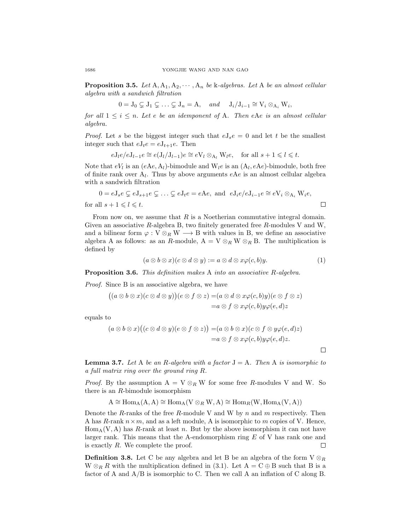**Proposition 3.5.** Let  $A, A_1, A_2, \cdots, A_n$  be k-algebras. Let A be an almost cellular algebra with a sandwich filtration

$$
0=J_0\subsetneq J_1\subsetneq \ldots \subsetneq J_n=A, \quad \text{and} \quad J_i/J_{i-1}\cong V_i\otimes_{A_i} W_i,
$$

for all  $1 \leq i \leq n$ . Let e be an idemponent of A. Then eAe is an almost cellular algebra.

*Proof.* Let s be the biggest integer such that  $eJ_s e = 0$  and let t be the smallest integer such that  $eJ_t e = eJ_{t+1}e$ . Then

$$
eJ_l e/eJ_{l-1}e \cong e(J_l/J_{l-1})e \cong eV_l \otimes_{A_l} W_l e, \quad \text{for all } s+1 \leq l \leq t.
$$

Note that  $eV_l$  is an  $(eAe, A_l)$ -bimodule and  $W_l e$  is an  $(A_l, eAe)$ -bimodule, both free of finite rank over  $A_l$ . Thus by above arguments  $eAe$  is an almost cellular algebra with a sandwich filtration

$$
0 = eJ_s e \subsetneq eJ_{s+1}e \subsetneq \dots \subsetneq eJ_t e = eAe, \text{ and } eJ_i e/eJ_{i-1}e \cong eV_i \otimes_{A_i} W_i e,
$$
  
for all  $s + 1 \leq l \leq t$ .

From now on, we assume that  $R$  is a Noetherian commutative integral domain. Given an associative R-algebra B, two finitely generated free R-modules V and W, and a bilinear form  $\varphi : V \otimes_R W \longrightarrow B$  with values in B, we define an associative algebra A as follows: as an R-module,  $A = V \otimes_R W \otimes_R B$ . The multiplication is defined by

$$
(a \otimes b \otimes x)(c \otimes d \otimes y) := a \otimes d \otimes x\varphi(c, b)y. \tag{1}
$$

 $\Box$ 

Proposition 3.6. This definition makes A into an associative R-algebra.

Proof. Since B is an associative algebra, we have

$$
((a \otimes b \otimes x)(c \otimes d \otimes y))(e \otimes f \otimes z) = (a \otimes d \otimes x\varphi(c, b)y)(e \otimes f \otimes z)
$$
  
=  $a \otimes f \otimes x\varphi(c, b)y\varphi(e, d)z$ 

equals to

$$
(a \otimes b \otimes x)((c \otimes d \otimes y)(e \otimes f \otimes z)) = (a \otimes b \otimes x)(c \otimes f \otimes y \varphi(e, d) z)
$$
  
=  $a \otimes f \otimes x \varphi(c, b) y \varphi(e, d) z$ .

<span id="page-5-0"></span>**Lemma 3.7.** Let A be an R-algebra with a factor  $J = A$ . Then A is isomorphic to a full matrix ring over the ground ring R.

*Proof.* By the assumption  $A = V \otimes_R W$  for some free R-modules V and W. So there is an R-bimodule isomorphism

$$
A \cong \operatorname{Hom}_A(A, A) \cong \operatorname{Hom}_A(V \otimes_R W, A) \cong \operatorname{Hom}_R(W, \operatorname{Hom}_A(V, A))
$$

Denote the R-ranks of the free R-module V and W by n and  $m$  respectively. Then A has R-rank  $n \times m$ , and as a left module, A is isomorphic to m copies of V. Hence,  $Hom_A(V, A)$  has R-rank at least n. But by the above isomorphism it can not have larger rank. This means that the A-endomorphism ring E of V has rank one and is exactly  $R$ . We complete the proof.  $\Box$ 

**Definition 3.8.** Let C be any algebra and let B be an algebra of the form  $V \otimes_R R$  $W \otimes_R R$  with the multiplication defined in (3.1). Let  $A = C \oplus B$  such that B is a factor of A and A/B is isomorphic to C. Then we call A an inflation of C along B.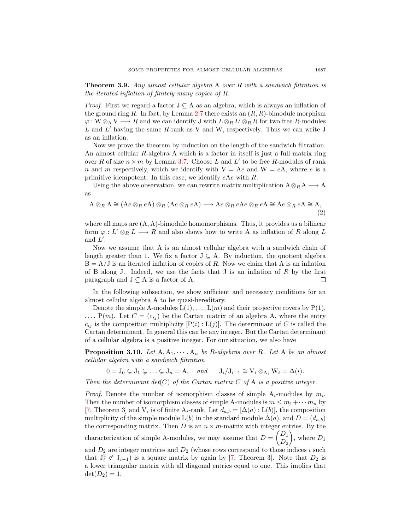Theorem 3.9. Any almost cellular algebra A over R with a sandwich filtration is the iterated inflation of finitely many copies of R.

*Proof.* First we regard a factor  $J \subseteq A$  as an algebra, which is always an inflation of the ground ring R. In fact, by Lemma [2.7](#page-2-0) there exists an  $(R, R)$ -bimodule morphism  $\varphi: W \otimes_A V \longrightarrow R$  and we can identify J with  $L \otimes_R L' \otimes_R R$  for two free R-modules  $L$  and  $L'$  having the same  $R$ -rank as V and W, respectively. Thus we can write J as an inflation.

Now we prove the theorem by induction on the length of the sandwich filtration. An almost cellular R-algebra A which is a factor in itself is just a full matrix ring over R of size  $n \times m$  by Lemma [3.7.](#page-5-0) Choose L and L' to be free R-modules of rank n and m respectively, which we identify with  $V = Ae$  and  $W = eA$ , where e is a primitive idempotent. In this case, we identify eAe with R.

Using the above observation, we can rewrite matrix multiplication  $A \otimes_R A \longrightarrow A$ as

$$
A \otimes_R A \cong (Ae \otimes_R eA) \otimes_R (Ae \otimes_R eA) \longrightarrow Ae \otimes_R eAe \otimes_R eA \cong Ae \otimes_R eA \cong A,
$$
\n(2)

where all maps are  $(A, A)$ -bimodule homomorphisms. Thus, it provides us a bilinear form  $\varphi: L' \otimes_R L \longrightarrow R$  and also shows how to write A as inflation of R along L and  $L'$ .

Now we assume that A is an almost cellular algebra with a sandwich chain of length greater than 1. We fix a factor  $J \subseteq A$ . By induction, the quotient algebra  $B = A/J$  is an iterated inflation of copies of R. Now we claim that A is an inflation of B along J. Indeed, we use the facts that J is an inflation of  $R$  by the first paragraph and  $J \subseteq A$  is a factor of A.  $\Box$ 

In the following subsection, we show sufficient and necessary conditions for an almost cellular algebra A to be quasi-hereditary.

Denote the simple A-modules  $L(1), \ldots, L(m)$  and their projective covers by  $P(1)$ ,  $\ldots$ , P(m). Let  $C = (c_{ij})$  be the Cartan matrix of an algebra A, where the entry  $c_{ij}$  is the composition multiplicity  $[P(i): L(j)]$ . The determinant of C is called the Cartan determinant. In general this can be any integer. But the Cartan determinant of a cellular algebra is a positive integer. For our situation, we also have

<span id="page-6-0"></span>**Proposition 3.10.** Let  $A, A_1, \dots, A_n$  be R-algebras over R. Let A be an almost cellular algebra with a sandwich filtration

 $0 = J_0 \subsetneq J_1 \subsetneq \ldots \subsetneq J_n = A$ , and  $J_i/J_{i-1} \cong V_i \otimes_{A_i} W_i = \Delta(i)$ .

Then the determinant  $det(C)$  of the Cartan matrix C of A is a positive integer.

*Proof.* Denote the number of isomorphism classes of simple  $A_i$ -modules by  $m_i$ . Then the number of isomorphism classes of simple A-modules is  $m \leq m_1 + \cdots + m_n$  by [\[7,](#page-8-9) Theorem 3] and  $V_i$  is of finite  $A_i$ -rank. Let  $d_{a,b} = [\Delta(a): L(b)]$ , the composition multiplicity of the simple module  $L(b)$  in the standard module  $\Delta(a)$ , and  $D = (d_{a,b})$ the corresponding matrix. Then  $D$  is an  $n \times m$ -matrix with integer entries. By the characterization of simple A-modules, we may assume that  $D = \begin{pmatrix} D_1 \\ D_2 \end{pmatrix}$  $D_2$ ), where  $D_1$ and  $D_2$  are integer matrices and  $D_2$  (whose rows correspond to those indices i such that  $J_i^2 \not\subset J_{i-1}$ ) is a square matrix by again by [\[7,](#page-8-9) Theorem 3]. Note that  $D_2$  is a lower triangular matrix with all diagonal entries equal to one. This implies that  $\det(D_2) = 1.$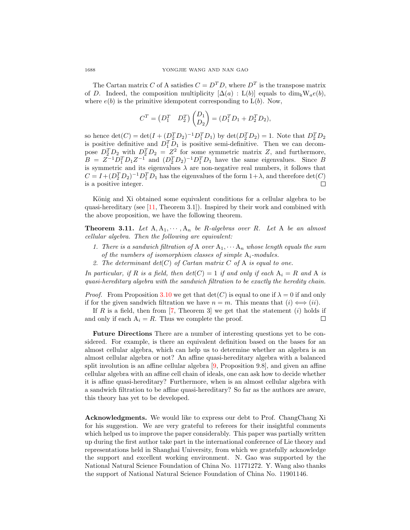The Cartan matrix C of A satisfies  $C = D<sup>T</sup>D$ , where  $D<sup>T</sup>$  is the transpose matrix of D. Indeed, the composition multiplicity  $[\Delta(a): L(b)]$  equals to dim<sub>k</sub>W<sub>a</sub>e(b), where  $e(b)$  is the primitive idempotent corresponding to  $L(b)$ . Now,

$$
C^{T} = (D_{1}^{T} \quad D_{2}^{T}) \begin{pmatrix} D_{1} \\ D_{2} \end{pmatrix} = (D_{1}^{T} D_{1} + D_{2}^{T} D_{2}),
$$

so hence  $\det(C) = \det(I + (D_2^T D_2)^{-1} D_1^T D_1)$  by  $\det(D_2^T D_2) = 1$ . Note that  $D_2^T D_2$ is positive definitive and  $D_1^T D_1$  is positive semi-definitive. Then we can decompose  $D_2^T D_2$  with  $D_2^T D_2 = Z^2$  for some symmetric matrix Z, and furthermore,  $B = Z^{-1}D_1^T D_1 Z^{-1}$  and  $(D_2^T D_2)^{-1}D_1^T D_1$  have the same eigenvalues. Since B is symmetric and its eigenvalues  $\lambda$  are non-negative real numbers, it follows that  $C = I + (D_2^T D_2)^{-1} D_1^T D_1$  has the eigenvalues of the form  $1 + \lambda$ , and therefore  $det(C)$ is a positive integer.

König and Xi obtained some equivalent conditions for a cellular algebra to be quasi-hereditary (see [\[11,](#page-8-5) Theorem 3.1]). Inspired by their work and combined with the above proposition, we have the following theorem.

**Theorem 3.11.** Let  $A, A_1, \dots, A_n$  be R-algebras over R. Let A be an almost cellular algebra. Then the following are equivalent:

- 1. There is a sandwich filtration of A over  $A_1, \cdots, A_n$  whose length equals the sum of the numbers of isomorphism classes of simple  $A_i$ -modules.
- 2. The determinant  $det(C)$  of Cartan matrix C of A is equal to one.

In particular, if R is a field, then  $det(C) = 1$  if and only if each  $A_i = R$  and A is quasi-hereditary algebra with the sandwich filtration to be exactly the heredity chain.

*Proof.* From Proposition [3.10](#page-6-0) we get that  $\det(C)$  is equal to one if  $\lambda = 0$  if and only if for the given sandwich filtration we have  $n = m$ . This means that  $(i) \iff (ii)$ .

If R is a field, then from  $[7,$  Theorem 3 we get that the statement  $(i)$  holds if and only if each  $A_i = R$ . Thus we complete the proof.  $\Box$ 

Future Directions There are a number of interesting questions yet to be considered. For example, is there an equivalent definition based on the bases for an almost cellular algebra, which can help us to determine whether an algebra is an almost cellular algebra or not? An affine quasi-hereditary algebra with a balanced split involution is an affine cellular algebra [\[9,](#page-8-13) Proposition 9.8], and given an affine cellular algebra with an affine cell chain of ideals, one can ask how to decide whether it is affine quasi-hereditary? Furthermore, when is an almost cellular algebra with a sandwich filtration to be affine quasi-hereditary? So far as the authors are aware, this theory has yet to be developed.

Acknowledgments. We would like to express our debt to Prof. ChangChang Xi for his suggestion. We are very grateful to referees for their insightful comments which helped us to improve the paper considerably. This paper was partially written up during the first author take part in the international conference of Lie theory and representations held in Shanghai University, from which we gratefully acknowledge the support and excellent working environment. N. Gao was supported by the National Natural Science Foundation of China No. 11771272. Y. Wang also thanks the support of National Natural Science Foundation of China No. 11901146.